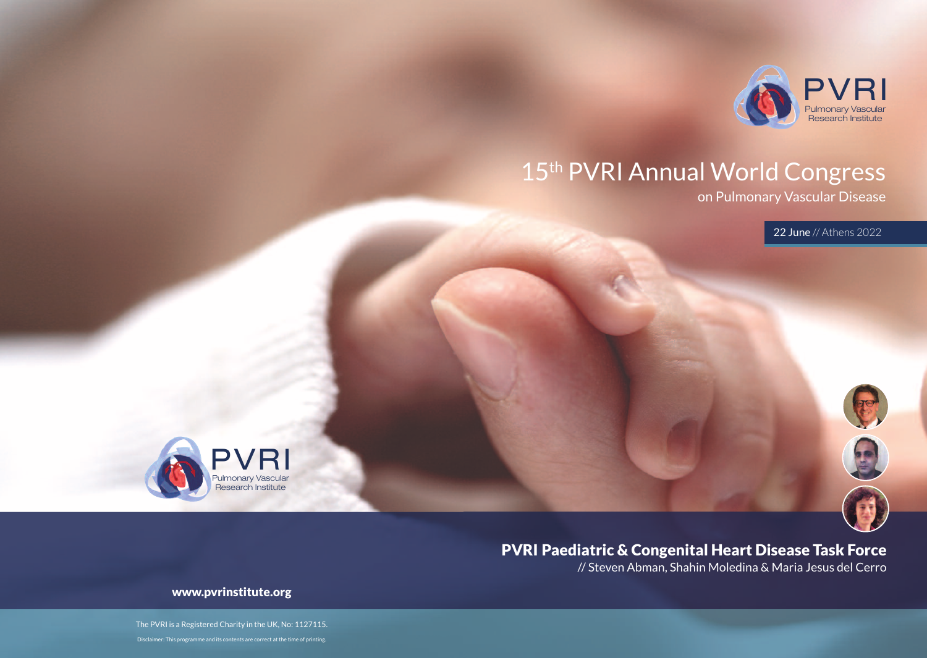

## 15<sup>th</sup> PVRI Annual World Congress

on Pulmonary Vascular Disease

22 June // Athens 2022



PVRI Paediatric & Congenital Heart Disease Task Force

// Steven Abman, Shahin Moledina & Maria Jesus del Cerro

www.pvrinstitute.org

Pulmonary Vascular Research Institute

PVRI

The PVRI is a Registered Charity in the UK, No: 1127115. Disclaimer: This programme and its contents are correct at the time of printing.